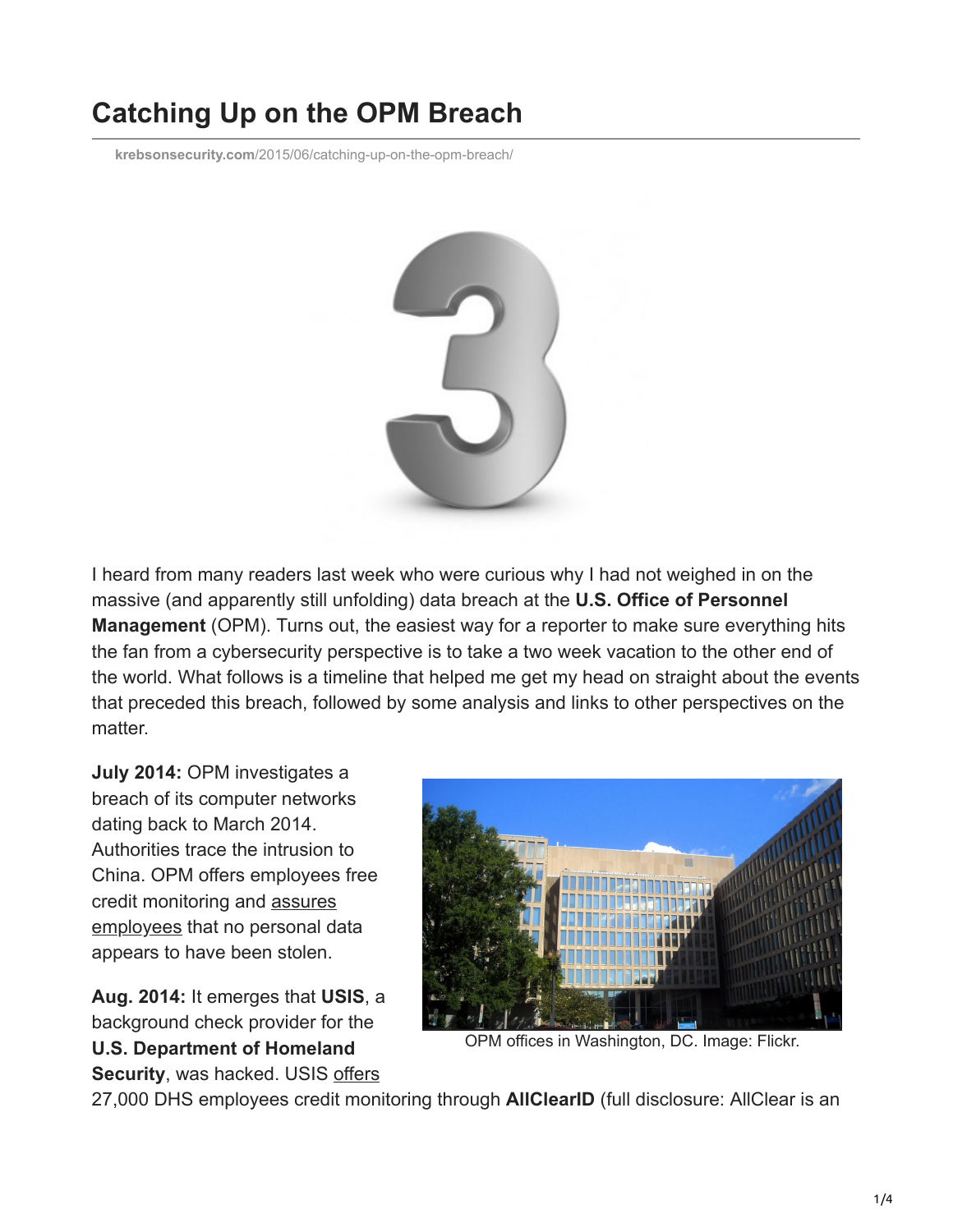## **Catching Up on the OPM Breach**

**krebsonsecurity.com**[/2015/06/catching-up-on-the-opm-breach/](https://krebsonsecurity.com/2015/06/catching-up-on-the-opm-breach/)



I heard from many readers last week who were curious why I had not weighed in on the massive (and apparently still unfolding) data breach at the **U.S. Office of Personnel Management** (OPM). Turns out, the easiest way for a reporter to make sure everything hits the fan from a cybersecurity perspective is to take a two week vacation to the other end of the world. What follows is a timeline that helped me get my head on straight about the events that preceded this breach, followed by some analysis and links to other perspectives on the matter.

**July 2014:** OPM investigates a breach of its computer networks dating back to March 2014. Authorities trace the intrusion to China. OPM offers employees free [credit monitoring and assures](http://www.washingtonpost.com/news/politics/wp/2014/07/10/e-mail-to-opm-staff-on-security-breach/) employees that no personal data appears to have been stolen.

**Aug. 2014:** It emerges that **USIS**, a background check provider for the **U.S. Department of Homeland Security**, was hacked. USIS [offers](http://archive.federaltimes.com/article/20140918/MGMT03/309180013/USIS-offers-DHS-employees-credit-monitoring-after-breach)



OPM offices in Washington, DC. Image: Flickr.

27,000 DHS employees credit monitoring through **AllClearID** (full disclosure: AllClear is an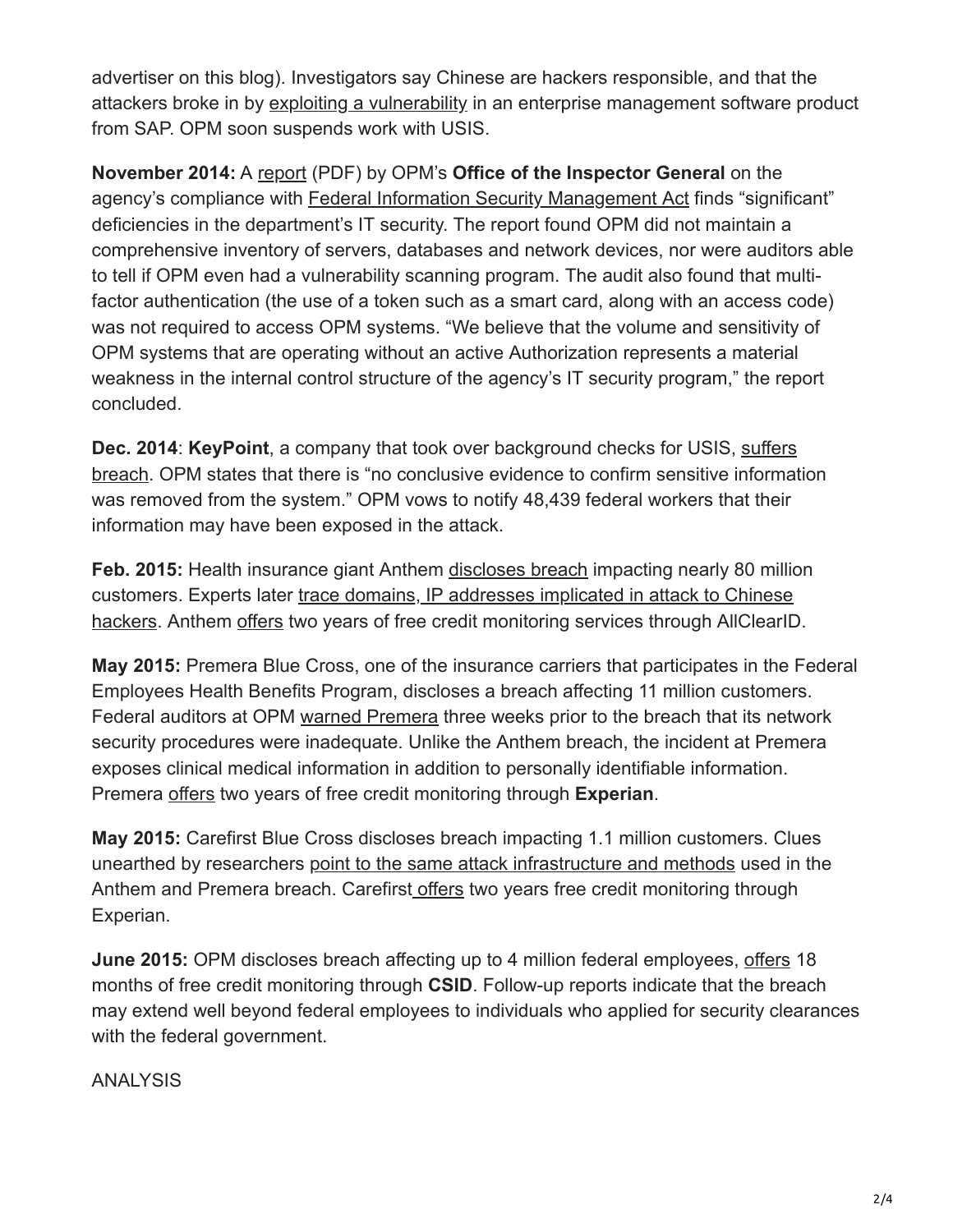advertiser on this blog). Investigators say Chinese are hackers responsible, and that the attackers broke in by [exploiting a vulnerability](http://www.nextgov.com/cybersecurity/2015/05/third-party-software-was-entry-point-background-check-system-hack/112354/) in an enterprise management software product from SAP. OPM soon suspends work with USIS.

**November 2014:** A [report](http://www.opm.gov/news/reports-publications/semi-annual-reports/sar52.pdf) (PDF) by OPM's **Office of the Inspector General** on the agency's compliance with [Federal Information Security Management Act](https://en.wikipedia.org/wiki/Federal_Information_Security_Management_Act_of_2002) finds "significant" deficiencies in the department's IT security. The report found OPM did not maintain a comprehensive inventory of servers, databases and network devices, nor were auditors able to tell if OPM even had a vulnerability scanning program. The audit also found that multifactor authentication (the use of a token such as a smart card, along with an access code) was not required to access OPM systems. "We believe that the volume and sensitivity of OPM systems that are operating without an active Authorization represents a material weakness in the internal control structure of the agency's IT security program," the report concluded.

**Dec. 2014**: **KeyPoint**, a company that took over background checks for USIS, suffers [breach. OPM states that there is "no conclusive evidence to confirm sensitive informat](http://www.washingtonpost.com/business/economy/keypoint-suffers-network-breach-thousands-of-fed-workers-could-be-affected/2014/12/18/e6c7146c-86e1-11e4-a702-fa31ff4ae98e_story.html)ion was removed from the system." OPM vows to notify 48,439 federal workers that their information may have been exposed in the attack.

**Feb. 2015:** Health insurance giant Anthem [discloses breach](http://krebsonsecurity.com/2015/02/data-breach-at-health-insurer-anthem-could-impact-millions/) impacting nearly 80 million customers. Experts later trace domains, IP addresses implicated in attack to Chinese [hackers. Anthem offers two years of free credit monitoring services through AllClearID](http://krebsonsecurity.com/2015/02/anthem-breach-may-have-started-in-april-2014/).

**May 2015:** Premera Blue Cross, one of the insurance carriers that participates in the Federal Employees Health Benefits Program, discloses a breach affecting 11 million customers. Federal auditors at OPM [warned Premera](http://www.seattletimes.com/business/local-business/feds-warned-premera-about-security-flaws-before-breach/) three weeks prior to the breach that its network security procedures were inadequate. Unlike the Anthem breach, the incident at Premera exposes clinical medical information in addition to personally identifiable information. Premera [offers](http://www.premeraupdate.com/free-credit-monitoring) two years of free credit monitoring through **Experian**.

**May 2015:** Carefirst Blue Cross discloses breach impacting 1.1 million customers. Clues unearthed by researchers [point to the same attack infrastructure and methods](http://krebsonsecurity.com/2015/05/carefirst-blue-cross-breach-hits-1-1m/) used in the Anthem and Premera breach. Carefirst [offers](http://www.carefirstanswers.com/monitoring.html) two years free credit monitoring through Experian.

**June 2015:** OPM discloses breach affecting up to 4 million federal employees, [offers](https://www.csid.com/opm/) 18 months of free credit monitoring through **CSID**. Follow-up reports indicate that the breach may extend well beyond federal employees to individuals who applied for security clearances with the federal government.

ANALYSIS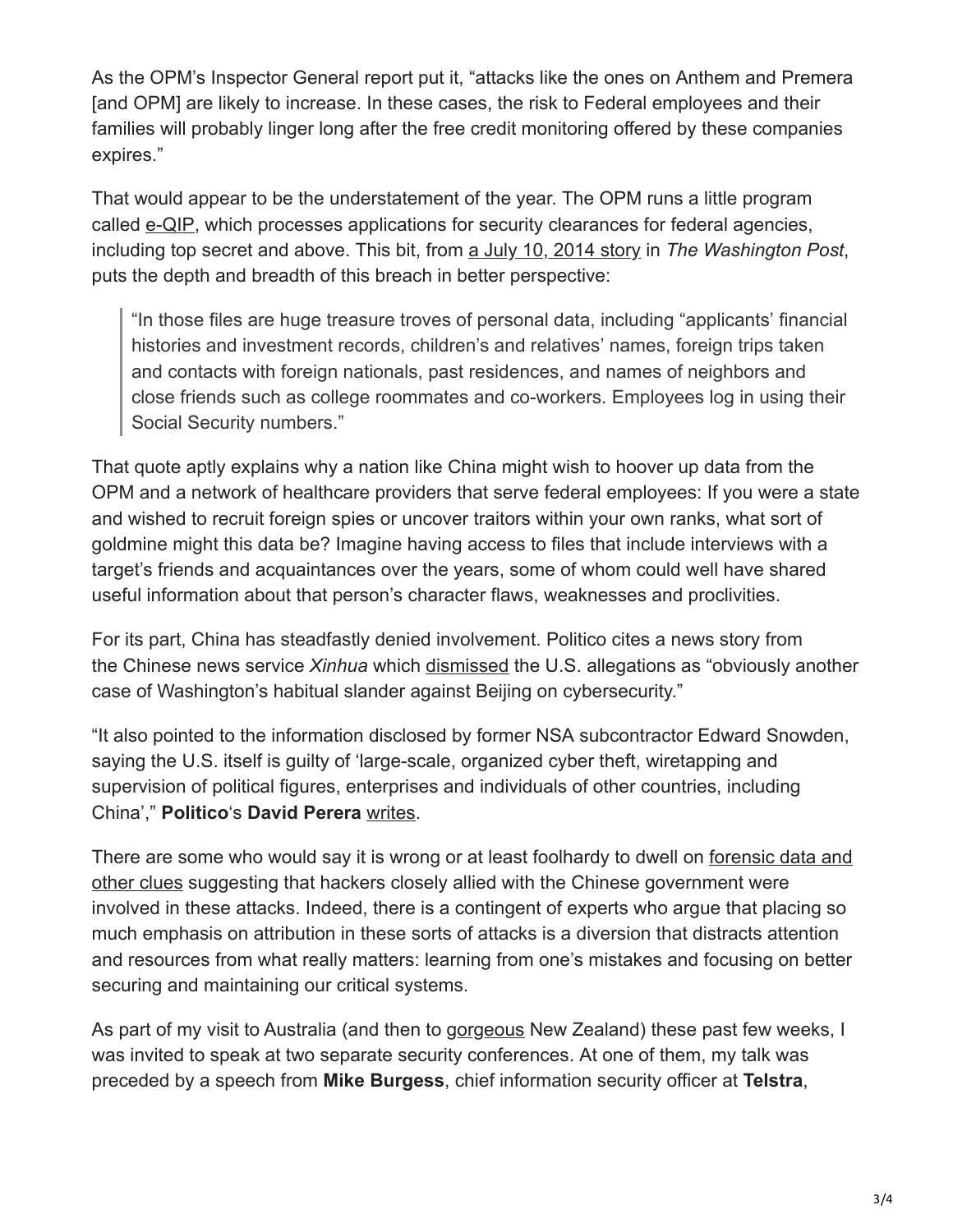As the OPM's Inspector General report put it, "attacks like the ones on Anthem and Premera [and OPM] are likely to increase. In these cases, the risk to Federal employees and their families will probably linger long after the free credit monitoring offered by these companies expires."

That would appear to be the understatement of the year. The OPM runs a little program called [e-QIP](https://en.wikipedia.org/wiki/E-QIP), which processes applications for security clearances for federal agencies, including top secret and above. This bit, from [a July 10, 2014 story](http://www.washingtonpost.com/world/national-security/chinese-hackers-go-after-us-workers-personal-data/2014/07/10/92db92e8-0846-11e4-8a6a-19355c7e870a_story.html) in *The Washington Post*, puts the depth and breadth of this breach in better perspective:

"In those files are huge treasure troves of personal data, including "applicants' financial histories and investment records, children's and relatives' names, foreign trips taken and contacts with foreign nationals, past residences, and names of neighbors and close friends such as college roommates and co-workers. Employees log in using their Social Security numbers."

That quote aptly explains why a nation like China might wish to hoover up data from the OPM and a network of healthcare providers that serve federal employees: If you were a state and wished to recruit foreign spies or uncover traitors within your own ranks, what sort of goldmine might this data be? Imagine having access to files that include interviews with a target's friends and acquaintances over the years, some of whom could well have shared useful information about that person's character flaws, weaknesses and proclivities.

For its part, China has steadfastly denied involvement. Politico cites a news story from the Chinese news service *Xinhua* which [dismissed](http://news.xinhuanet.com/english/2015-06/05/c_134300869.htm) the U.S. allegations as "obviously another case of Washington's habitual slander against Beijing on cybersecurity."

"It also pointed to the information disclosed by former NSA subcontractor Edward Snowden, saying the U.S. itself is guilty of 'large-scale, organized cyber theft, wiretapping and supervision of political figures, enterprises and individuals of other countries, including China'," **Politico**'s **David Perera** [writes](http://www.politico.com/story/2015/06/personal-data-of-4-million-federal-employees-hacked-118655.html).

[There are some who would say it is wrong or at least foolhardy to dwell on forensic data and](http://www.threatconnect.com/news/opm-breach-analysis-update/) other clues suggesting that hackers closely allied with the Chinese government were involved in these attacks. Indeed, there is a contingent of experts who argue that placing so much emphasis on attribution in these sorts of attacks is a diversion that distracts attention and resources from what really matters: learning from one's mistakes and focusing on better securing and maintaining our critical systems.

As part of my visit to Australia (and then to [gorgeous](https://krebsonsecurity.com/wp-content/uploads/2015/06/bfGYW.jpg) New Zealand) these past few weeks, I was invited to speak at two separate security conferences. At one of them, my talk was preceded by a speech from **Mike Burgess**, chief information security officer at **Telstra**,